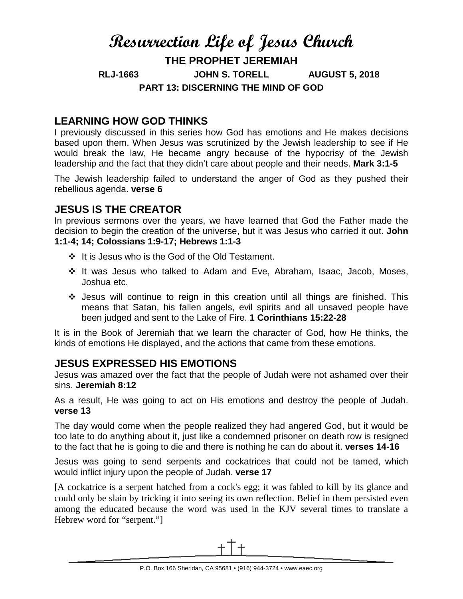# **Resurrection Life of Jesus Church THE PROPHET JEREMIAH RLJ-1663 JOHN S. TORELL AUGUST 5, 2018 PART 13: DISCERNING THE MIND OF GOD**

## **LEARNING HOW GOD THINKS**

I previously discussed in this series how God has emotions and He makes decisions based upon them. When Jesus was scrutinized by the Jewish leadership to see if He would break the law, He became angry because of the hypocrisy of the Jewish leadership and the fact that they didn't care about people and their needs. **Mark 3:1-5**

The Jewish leadership failed to understand the anger of God as they pushed their rebellious agenda. **verse 6**

## **JESUS IS THE CREATOR**

In previous sermons over the years, we have learned that God the Father made the decision to begin the creation of the universe, but it was Jesus who carried it out. **John 1:1-4; 14; Colossians 1:9-17; Hebrews 1:1-3**

- $\div$  It is Jesus who is the God of the Old Testament.
- \* It was Jesus who talked to Adam and Eve, Abraham, Isaac, Jacob, Moses, Joshua etc.
- Jesus will continue to reign in this creation until all things are finished. This means that Satan, his fallen angels, evil spirits and all unsaved people have been judged and sent to the Lake of Fire. **1 Corinthians 15:22-28**

It is in the Book of Jeremiah that we learn the character of God, how He thinks, the kinds of emotions He displayed, and the actions that came from these emotions.

#### **JESUS EXPRESSED HIS EMOTIONS**

Jesus was amazed over the fact that the people of Judah were not ashamed over their sins. **Jeremiah 8:12**

As a result, He was going to act on His emotions and destroy the people of Judah. **verse 13**

The day would come when the people realized they had angered God, but it would be too late to do anything about it, just like a condemned prisoner on death row is resigned to the fact that he is going to die and there is nothing he can do about it. **verses 14-16**

Jesus was going to send serpents and cockatrices that could not be tamed, which would inflict injury upon the people of Judah. **verse 17**

[A cockatrice is a serpent hatched from a cock's egg; it was fabled to kill by its glance and could only be slain by tricking it into seeing its own reflection. Belief in them persisted even among the educated because the word was used in the KJV several times to translate a Hebrew word for "serpent."]